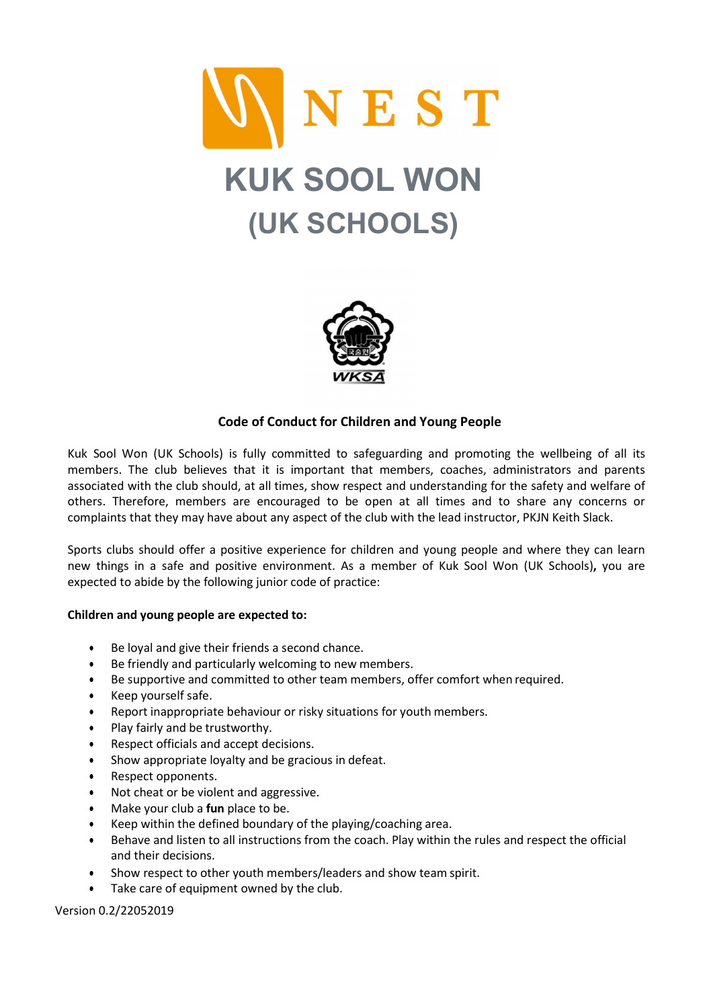



## Code of Conduct for Children and Young People

Kuk Sool Won (UK Schools) is fully committed to safeguarding and promoting the wellbeing of all its members. The club believes that it is important that members, coaches, administrators and parents associated with the club should, at all times, show respect and understanding for the safety and welfare of others. Therefore, members are encouraged to be open at all times and to share any concerns or complaints that they may have about any aspect of the club with the lead instructor, PKJN Keith Slack.

Sports clubs should offer a positive experience for children and young people and where they can learn new things in a safe and positive environment. As a member of Kuk Sool Won (UK Schools), you are expected to abide by the following junior code of practice:

## Children and young people are expected to:

- Be loyal and give their friends a second chance.
- Be friendly and particularly welcoming to new members.
- Be supportive and committed to other team members, offer comfort when required.
- Keep yourself safe.
- Report inappropriate behaviour or risky situations for youth members.
- Play fairly and be trustworthy.
- Respect officials and accept decisions.
- Show appropriate loyalty and be gracious in defeat.
- Respect opponents.
- Not cheat or be violent and aggressive.
- $\bullet$  Make your club a fun place to be.
- Keep within the defined boundary of the playing/coaching area.
- Behave and listen to all instructions from the coach. Play within the rules and respect the official and their decisions.
- Show respect to other youth members/leaders and show team spirit.
- Take care of equipment owned by the club.

Version 0.2/22052019